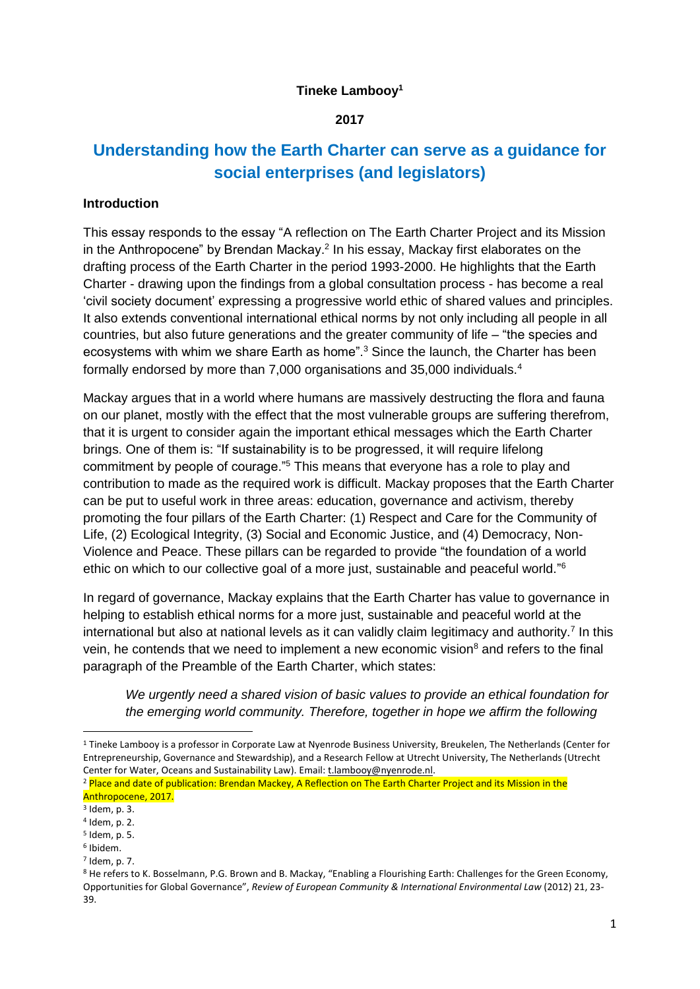#### **Tineke Lambooy<sup>1</sup>**

#### **2017**

# **Understanding how the Earth Charter can serve as a guidance for social enterprises (and legislators)**

### **Introduction**

This essay responds to the essay "A reflection on The Earth Charter Project and its Mission in the Anthropocene" by Brendan Mackay.<sup>2</sup> In his essay, Mackay first elaborates on the drafting process of the Earth Charter in the period 1993-2000. He highlights that the Earth Charter - drawing upon the findings from a global consultation process - has become a real 'civil society document' expressing a progressive world ethic of shared values and principles. It also extends conventional international ethical norms by not only including all people in all countries, but also future generations and the greater community of life – "the species and ecosystems with whim we share Earth as home".<sup>3</sup> Since the launch, the Charter has been formally endorsed by more than 7,000 organisations and 35,000 individuals.<sup>4</sup>

Mackay argues that in a world where humans are massively destructing the flora and fauna on our planet, mostly with the effect that the most vulnerable groups are suffering therefrom, that it is urgent to consider again the important ethical messages which the Earth Charter brings. One of them is: "If sustainability is to be progressed, it will require lifelong commitment by people of courage."<sup>5</sup> This means that everyone has a role to play and contribution to made as the required work is difficult. Mackay proposes that the Earth Charter can be put to useful work in three areas: education, governance and activism, thereby promoting the four pillars of the Earth Charter: (1) Respect and Care for the Community of Life, (2) Ecological Integrity, (3) Social and Economic Justice, and (4) Democracy, Non-Violence and Peace. These pillars can be regarded to provide "the foundation of a world ethic on which to our collective goal of a more just, sustainable and peaceful world."<sup>6</sup>

In regard of governance, Mackay explains that the Earth Charter has value to governance in helping to establish ethical norms for a more just, sustainable and peaceful world at the international but also at national levels as it can validly claim legitimacy and authority.<sup>7</sup> In this vein, he contends that we need to implement a new economic vision<sup>8</sup> and refers to the final paragraph of the Preamble of the Earth Charter, which states:

*We urgently need a shared vision of basic values to provide an ethical foundation for the emerging world community. Therefore, together in hope we affirm the following* 

**.** 

7 Idem, p. 7.

<sup>&</sup>lt;sup>1</sup> Tineke Lambooy is a professor in Corporate Law at Nyenrode Business University, Breukelen, The Netherlands (Center for Entrepreneurship, Governance and Stewardship), and a Research Fellow at Utrecht University, The Netherlands (Utrecht Center for Water, Oceans and Sustainability Law). Email: t.lambooy@nyenrode.nl.

<sup>&</sup>lt;sup>2</sup> Place and date of publication: Brendan Mackey, A Reflection on The Earth Charter Project and its Mission in the Anthropocene, 2017.

<sup>3</sup> Idem, p. 3.

<sup>4</sup> Idem, p. 2.

<sup>5</sup> Idem, p. 5.

<sup>6</sup> Ibidem.

<sup>8</sup> He refers to K. Bosselmann, P.G. Brown and B. Mackay, "Enabling a Flourishing Earth: Challenges for the Green Economy, Opportunities for Global Governance", *Review of European Community & International Environmental Law* (2012) 21, 23- 39.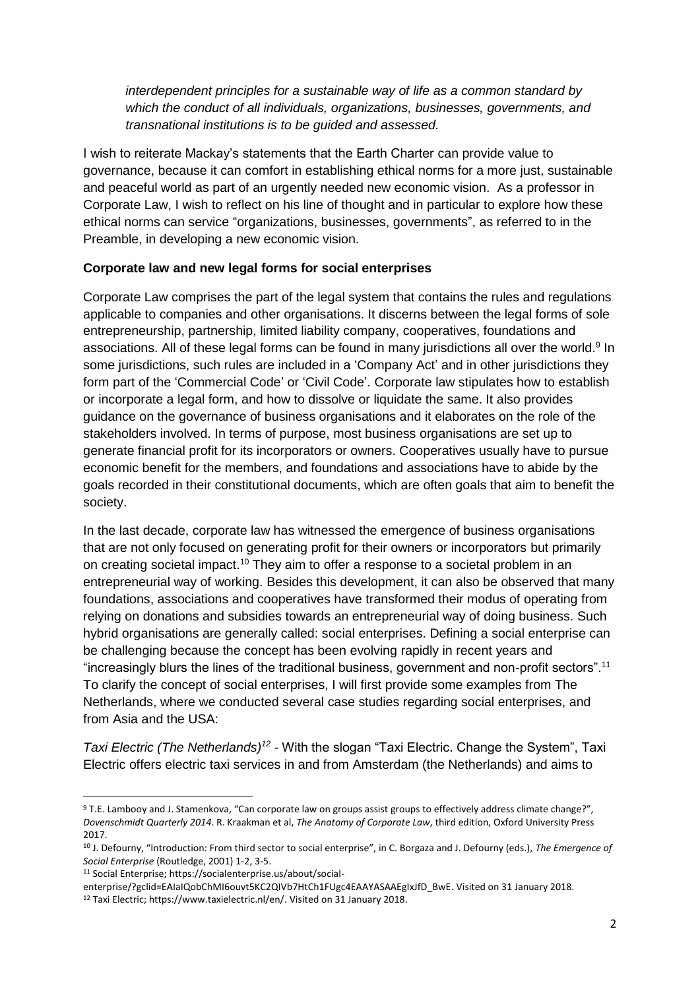*interdependent principles for a sustainable way of life as a common standard by which the conduct of all individuals, organizations, businesses, governments, and transnational institutions is to be guided and assessed.*

I wish to reiterate Mackay's statements that the Earth Charter can provide value to governance, because it can comfort in establishing ethical norms for a more just, sustainable and peaceful world as part of an urgently needed new economic vision. As a professor in Corporate Law, I wish to reflect on his line of thought and in particular to explore how these ethical norms can service "organizations, businesses, governments", as referred to in the Preamble, in developing a new economic vision.

### **Corporate law and new legal forms for social enterprises**

Corporate Law comprises the part of the legal system that contains the rules and regulations applicable to companies and other organisations. It discerns between the legal forms of sole entrepreneurship, partnership, limited liability company, cooperatives, foundations and associations. All of these legal forms can be found in many jurisdictions all over the world.<sup>9</sup> In some jurisdictions, such rules are included in a 'Company Act' and in other jurisdictions they form part of the 'Commercial Code' or 'Civil Code'. Corporate law stipulates how to establish or incorporate a legal form, and how to dissolve or liquidate the same. It also provides guidance on the governance of business organisations and it elaborates on the role of the stakeholders involved. In terms of purpose, most business organisations are set up to generate financial profit for its incorporators or owners. Cooperatives usually have to pursue economic benefit for the members, and foundations and associations have to abide by the goals recorded in their constitutional documents, which are often goals that aim to benefit the society.

In the last decade, corporate law has witnessed the emergence of business organisations that are not only focused on generating profit for their owners or incorporators but primarily on creating societal impact.<sup>10</sup> They aim to offer a response to a societal problem in an entrepreneurial way of working. Besides this development, it can also be observed that many foundations, associations and cooperatives have transformed their modus of operating from relying on donations and subsidies towards an entrepreneurial way of doing business. Such hybrid organisations are generally called: social enterprises. Defining a social enterprise can be challenging because the concept has been evolving rapidly in recent years and "increasingly blurs the lines of the traditional business, government and non-profit sectors".<sup>11</sup> To clarify the concept of social enterprises, I will first provide some examples from The Netherlands, where we conducted several case studies regarding social enterprises, and from Asia and the USA:

*Taxi Electric (The Netherlands)<sup>12</sup> -* With the slogan "Taxi Electric. Change the System", Taxi Electric offers electric taxi services in and from Amsterdam (the Netherlands) and aims to

1

<sup>9</sup> T.E. Lambooy and J. Stamenkova, "Can corporate law on groups assist groups to effectively address climate change?", *Dovenschmidt Quarterly 2014*. R. Kraakman et al, *The Anatomy of Corporate Law*, third edition, Oxford University Press 2017.

<sup>10</sup> J. Defourny, "Introduction: From third sector to social enterprise", in C. Borgaza and J. Defourny (eds.), *The Emergence of Social Enterprise* (Routledge, 2001) 1-2, 3-5.

<sup>11</sup> Social Enterprise; [https://socialenterprise.us/about/social-](https://socialenterprise.us/about/social-enterprise/?gclid=EAIaIQobChMI6ouvt5KC2QIVb7HtCh1FUgc4EAAYASAAEgIxJfD_BwE)

[enterprise/?gclid=EAIaIQobChMI6ouvt5KC2QIVb7HtCh1FUgc4EAAYASAAEgIxJfD\\_BwE.](https://socialenterprise.us/about/social-enterprise/?gclid=EAIaIQobChMI6ouvt5KC2QIVb7HtCh1FUgc4EAAYASAAEgIxJfD_BwE) Visited on 31 January 2018. <sup>12</sup> Taxi Electric; [https://www.taxielectric.nl/en/.](https://www.taxielectric.nl/en/) Visited on 31 January 2018.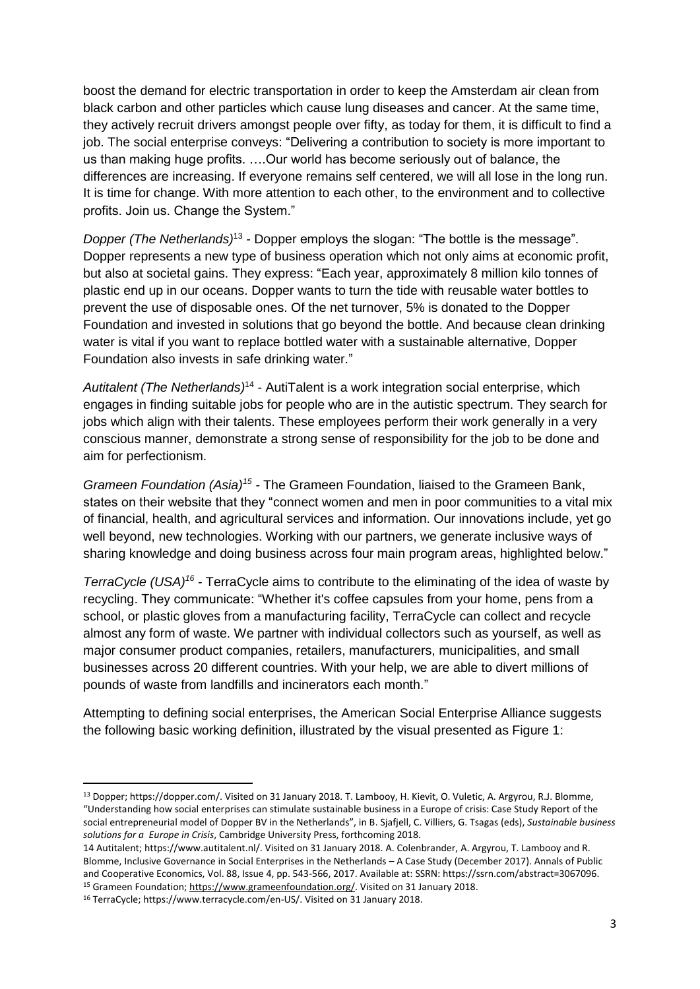boost the demand for electric transportation in order to keep the Amsterdam air clean from black carbon and other particles which cause lung diseases and cancer. At the same time, they actively recruit drivers amongst people over fifty, as today for them, it is difficult to find a job. The social enterprise conveys: "Delivering a contribution to society is more important to us than making huge profits. ….Our world has become seriously out of balance, the differences are increasing. If everyone remains self centered, we will all lose in the long run. It is time for change. With more attention to each other, to the environment and to collective profits. Join us. Change the System."

*Dopper (The Netherlands)*<sup>13</sup> - Dopper employs the slogan: "The bottle is the message". Dopper represents a new type of business operation which not only aims at economic profit, but also at societal gains. They express: "Each year, approximately 8 million kilo tonnes of plastic end up in our oceans. Dopper wants to turn the tide with reusable water bottles to prevent the use of disposable ones. Of the net turnover, 5% is donated to the Dopper Foundation and invested in solutions that go beyond the bottle. And because clean drinking water is vital if you want to replace bottled water with a sustainable alternative, Dopper Foundation also invests in safe drinking water."

Autitalent (The Netherlands)<sup>14</sup> - AutiTalent is a work integration social enterprise, which engages in finding suitable jobs for people who are in the autistic spectrum. They search for jobs which align with their talents. These employees perform their work generally in a very conscious manner, demonstrate a strong sense of responsibility for the job to be done and aim for perfectionism.

*Grameen Foundation (Asia)<sup>15</sup> -* The Grameen Foundation, liaised to the Grameen Bank, states on their website that they "connect women and men in poor communities to a vital mix of financial, health, and agricultural services and information. Our innovations include, yet go well beyond, new technologies. Working with our partners, we generate inclusive ways of sharing knowledge and doing business across four main program areas, highlighted below."

*TerraCycle* (USA)<sup>16</sup> - TerraCycle aims to contribute to the eliminating of the idea of waste by recycling. They communicate: "Whether it's coffee capsules from your home, pens from a school, or plastic gloves from a manufacturing facility, TerraCycle can collect and recycle almost any form of waste. We partner with individual collectors such as yourself, as well as major consumer product companies, retailers, manufacturers, municipalities, and small businesses across 20 different countries. With your help, we are able to divert millions of pounds of waste from landfills and incinerators each month."

Attempting to defining social enterprises, the American Social Enterprise Alliance suggests the following basic working definition, illustrated by the visual presented as Figure 1:

**.** 

<sup>13</sup> Dopper; https://dopper.com/. Visited on 31 January 2018. T. Lambooy, H. Kievit, O. Vuletic, A. Argyrou, R.J. Blomme, "Understanding how social enterprises can stimulate sustainable business in a Europe of crisis: Case Study Report of the social entrepreneurial model of Dopper BV in the Netherlands", in B. Sjafjell, C. Villiers, G. Tsagas (eds), *Sustainable business solutions for a Europe in Crisis*, Cambridge University Press, forthcoming 2018.

<sup>14</sup> Autitalent; https://www.autitalent.nl/. Visited on 31 January 2018. A. Colenbrander, A. Argyrou, T. Lambooy and R. Blomme, Inclusive Governance in Social Enterprises in the Netherlands – A Case Study (December 2017). Annals of Public and Cooperative Economics, Vol. 88, Issue 4, pp. 543-566, 2017. Available at: SSRN: [https://ssrn.com/abstract=3067096.](https://ssrn.com/abstract=3067096)  <sup>15</sup> Grameen Foundation[; https://www.grameenfoundation.org/.](https://www.grameenfoundation.org/) Visited on 31 January 2018.

<sup>16</sup> TerraCycle; https://www.terracycle.com/en-US/. Visited on 31 January 2018.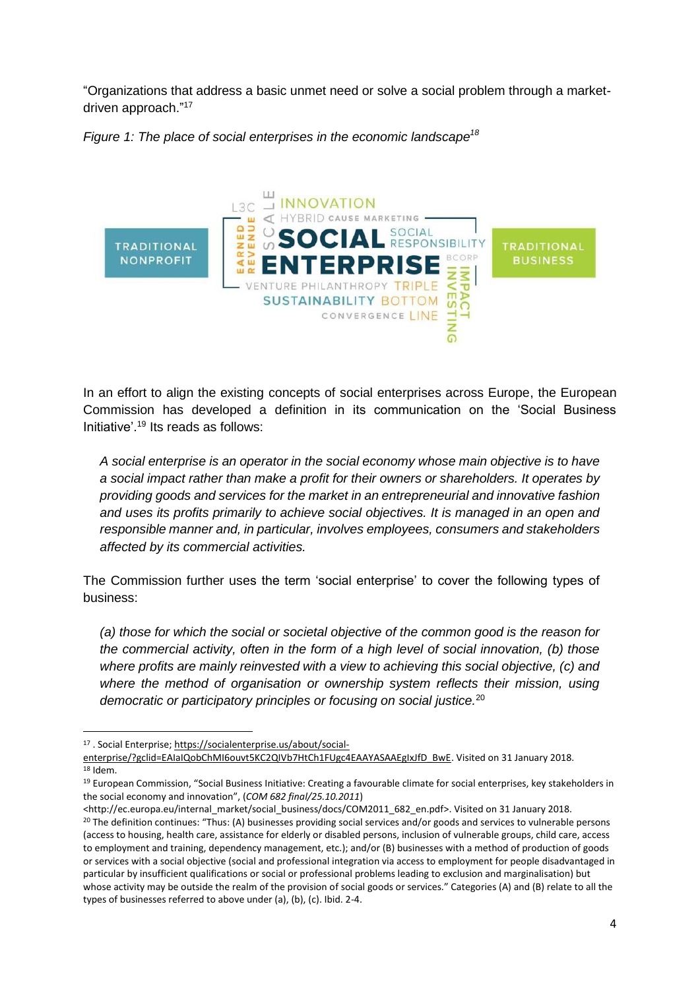"Organizations that address a basic unmet need or solve a social problem through a marketdriven approach."<sup>17</sup>



*Figure 1: The place of social enterprises in the economic landscape<sup>18</sup>*

In an effort to align the existing concepts of social enterprises across Europe, the European Commission has developed a definition in its communication on the 'Social Business Initiative'. <sup>19</sup> Its reads as follows:

*A social enterprise is an operator in the social economy whose main objective is to have a social impact rather than make a profit for their owners or shareholders. It operates by providing goods and services for the market in an entrepreneurial and innovative fashion and uses its profits primarily to achieve social objectives. It is managed in an open and responsible manner and, in particular, involves employees, consumers and stakeholders affected by its commercial activities.* 

The Commission further uses the term 'social enterprise' to cover the following types of business:

*(a) those for which the social or societal objective of the common good is the reason for the commercial activity, often in the form of a high level of social innovation, (b) those where profits are mainly reinvested with a view to achieving this social objective, (c) and where the method of organisation or ownership system reflects their mission, using democratic or participatory principles or focusing on social justice.*<sup>20</sup>

**.** 

<sup>17</sup> . Social Enterprise[; https://socialenterprise.us/about/social-](https://socialenterprise.us/about/social-enterprise/?gclid=EAIaIQobChMI6ouvt5KC2QIVb7HtCh1FUgc4EAAYASAAEgIxJfD_BwE)

[enterprise/?gclid=EAIaIQobChMI6ouvt5KC2QIVb7HtCh1FUgc4EAAYASAAEgIxJfD\\_BwE.](https://socialenterprise.us/about/social-enterprise/?gclid=EAIaIQobChMI6ouvt5KC2QIVb7HtCh1FUgc4EAAYASAAEgIxJfD_BwE) Visited on 31 January 2018. <sup>18</sup> Idem.

<sup>&</sup>lt;sup>19</sup> European Commission, "Social Business Initiative: Creating a favourable climate for social enterprises, key stakeholders in the social economy and innovation", (*COM 682 final/25.10.2011*)

[<sup>&</sup>lt;http://ec.europa.eu/internal\\_market/social\\_business/docs/COM2011\\_682\\_en.pdf>](http://ec.europa.eu/internal_market/social_business/docs/COM2011_682_en.pdf). Visited on 31 January 2018. <sup>20</sup> The definition continues: "Thus: (A) businesses providing social services and/or goods and services to vulnerable persons (access to housing, health care, assistance for elderly or disabled persons, inclusion of vulnerable groups, child care, access to employment and training, dependency management, etc.); and/or (B) businesses with a method of production of goods or services with a social objective (social and professional integration via access to employment for people disadvantaged in particular by insufficient qualifications or social or professional problems leading to exclusion and marginalisation) but whose activity may be outside the realm of the provision of social goods or services." Categories (A) and (B) relate to all the types of businesses referred to above under (a), (b), (c). Ibid. 2-4.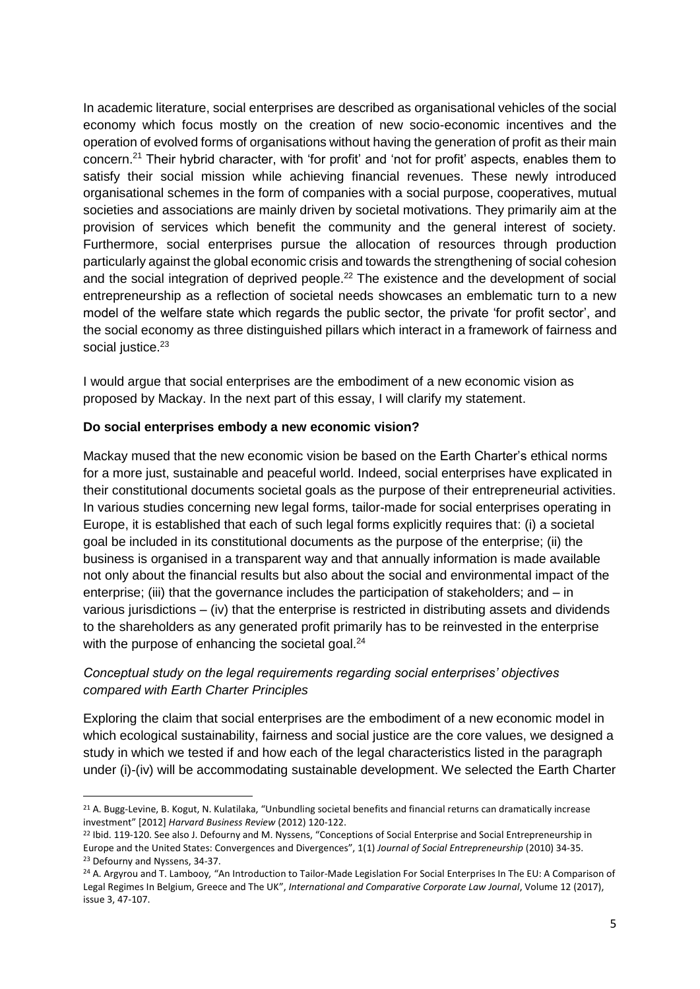In academic literature, social enterprises are described as organisational vehicles of the social economy which focus mostly on the creation of new socio-economic incentives and the operation of evolved forms of organisations without having the generation of profit as their main concern.<sup>21</sup> Their hybrid character, with 'for profit' and 'not for profit' aspects, enables them to satisfy their social mission while achieving financial revenues. These newly introduced organisational schemes in the form of companies with a social purpose, cooperatives, mutual societies and associations are mainly driven by societal motivations. They primarily aim at the provision of services which benefit the community and the general interest of society. Furthermore, social enterprises pursue the allocation of resources through production particularly against the global economic crisis and towards the strengthening of social cohesion and the social integration of deprived people.<sup>22</sup> The existence and the development of social entrepreneurship as a reflection of societal needs showcases an emblematic turn to a new model of the welfare state which regards the public sector, the private 'for profit sector', and the social economy as three distinguished pillars which interact in a framework of fairness and social justice.<sup>23</sup>

I would argue that social enterprises are the embodiment of a new economic vision as proposed by Mackay. In the next part of this essay, I will clarify my statement.

## **Do social enterprises embody a new economic vision?**

1

Mackay mused that the new economic vision be based on the Earth Charter's ethical norms for a more just, sustainable and peaceful world. Indeed, social enterprises have explicated in their constitutional documents societal goals as the purpose of their entrepreneurial activities. In various studies concerning new legal forms, tailor-made for social enterprises operating in Europe, it is established that each of such legal forms explicitly requires that: (i) a societal goal be included in its constitutional documents as the purpose of the enterprise; (ii) the business is organised in a transparent way and that annually information is made available not only about the financial results but also about the social and environmental impact of the enterprise; (iii) that the governance includes the participation of stakeholders; and – in various jurisdictions – (iv) that the enterprise is restricted in distributing assets and dividends to the shareholders as any generated profit primarily has to be reinvested in the enterprise with the purpose of enhancing the societal goal.<sup>24</sup>

# *Conceptual study on the legal requirements regarding social enterprises' objectives compared with Earth Charter Principles*

Exploring the claim that social enterprises are the embodiment of a new economic model in which ecological sustainability, fairness and social justice are the core values, we designed a study in which we tested if and how each of the legal characteristics listed in the paragraph under (i)-(iv) will be accommodating sustainable development. We selected the Earth Charter

<sup>21</sup> A. Bugg-Levine, B. Kogut, N. Kulatilaka, "Unbundling societal benefits and financial returns can dramatically increase investment" [2012] *Harvard Business Review* (2012) 120-122.

<sup>&</sup>lt;sup>22</sup> Ibid. 119-120. See also J. Defourny and M. Nyssens, "Conceptions of Social Enterprise and Social Entrepreneurship in Europe and the United States: Convergences and Divergences", 1(1) *Journal of Social Entrepreneurship* (2010) 34-35. <sup>23</sup> Defourny and Nyssens, 34-37.

<sup>24</sup> A. Argyrou and T. Lambooy*,* "An Introduction to Tailor-Made Legislation For Social Enterprises In The EU: A Comparison of Legal Regimes In Belgium, Greece and The UK", *International and Comparative Corporate Law Journal*, Volume 12 (2017), issue 3, 47-107.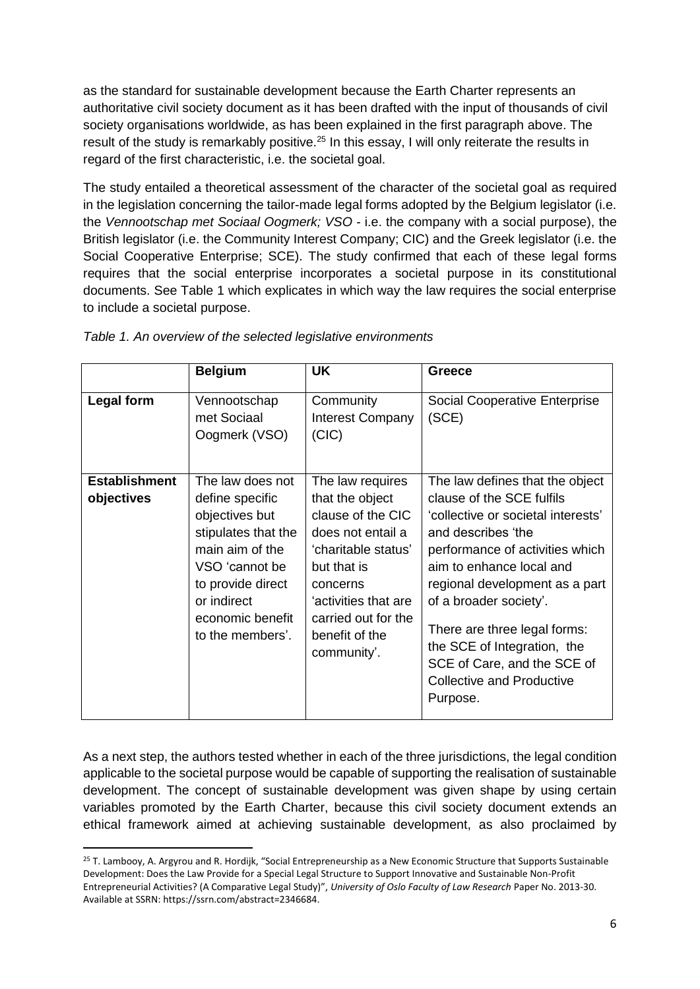as the standard for sustainable development because the Earth Charter represents an authoritative civil society document as it has been drafted with the input of thousands of civil society organisations worldwide, as has been explained in the first paragraph above. The result of the study is remarkably positive.<sup>25</sup> In this essay, I will only reiterate the results in regard of the first characteristic, i.e. the societal goal.

The study entailed a theoretical assessment of the character of the societal goal as required in the legislation concerning the tailor-made legal forms adopted by the Belgium legislator (i.e. the *Vennootschap met Sociaal Oogmerk; VSO -* i.e. the company with a social purpose), the British legislator (i.e. the Community Interest Company; CIC) and the Greek legislator (i.e. the Social Cooperative Enterprise; SCE). The study confirmed that each of these legal forms requires that the social enterprise incorporates a societal purpose in its constitutional documents. See Table 1 which explicates in which way the law requires the social enterprise to include a societal purpose.

|                                    | <b>Belgium</b>                                                                                                                                                                                | UK                                                                                                                                                                                                              | <b>Greece</b>                                                                                                                                                                                                                                                                                                                                                                                     |
|------------------------------------|-----------------------------------------------------------------------------------------------------------------------------------------------------------------------------------------------|-----------------------------------------------------------------------------------------------------------------------------------------------------------------------------------------------------------------|---------------------------------------------------------------------------------------------------------------------------------------------------------------------------------------------------------------------------------------------------------------------------------------------------------------------------------------------------------------------------------------------------|
| Legal form                         | Vennootschap<br>met Sociaal<br>Oogmerk (VSO)                                                                                                                                                  | Community<br><b>Interest Company</b><br>(CIC)                                                                                                                                                                   | Social Cooperative Enterprise<br>(SCE)                                                                                                                                                                                                                                                                                                                                                            |
| <b>Establishment</b><br>objectives | The law does not<br>define specific<br>objectives but<br>stipulates that the<br>main aim of the<br>VSO 'cannot be<br>to provide direct<br>or indirect<br>economic benefit<br>to the members'. | The law requires<br>that the object<br>clause of the CIC<br>does not entail a<br>'charitable status'<br>but that is<br>concerns<br>'activities that are<br>carried out for the<br>benefit of the<br>community'. | The law defines that the object<br>clause of the SCE fulfils<br>'collective or societal interests'<br>and describes 'the<br>performance of activities which<br>aim to enhance local and<br>regional development as a part<br>of a broader society'.<br>There are three legal forms:<br>the SCE of Integration, the<br>SCE of Care, and the SCE of<br><b>Collective and Productive</b><br>Purpose. |

As a next step, the authors tested whether in each of the three jurisdictions, the legal condition applicable to the societal purpose would be capable of supporting the realisation of sustainable development. The concept of sustainable development was given shape by using certain variables promoted by the Earth Charter, because this civil society document extends an ethical framework aimed at achieving sustainable development, as also proclaimed by

 $\overline{a}$ 

 $25$  T. Lambooy, A. Argyrou and R. Hordijk, "Social Entrepreneurship as a New Economic Structure that Supports Sustainable Development: Does the Law Provide for a Special Legal Structure to Support Innovative and Sustainable Non-Profit Entrepreneurial Activities? (A Comparative Legal Study)", *University of Oslo Faculty of Law Research* Paper No. 2013-30. Available at SSRN: [https://ssrn.com/abstract=2346684.](https://ssrn.com/abstract=2346684)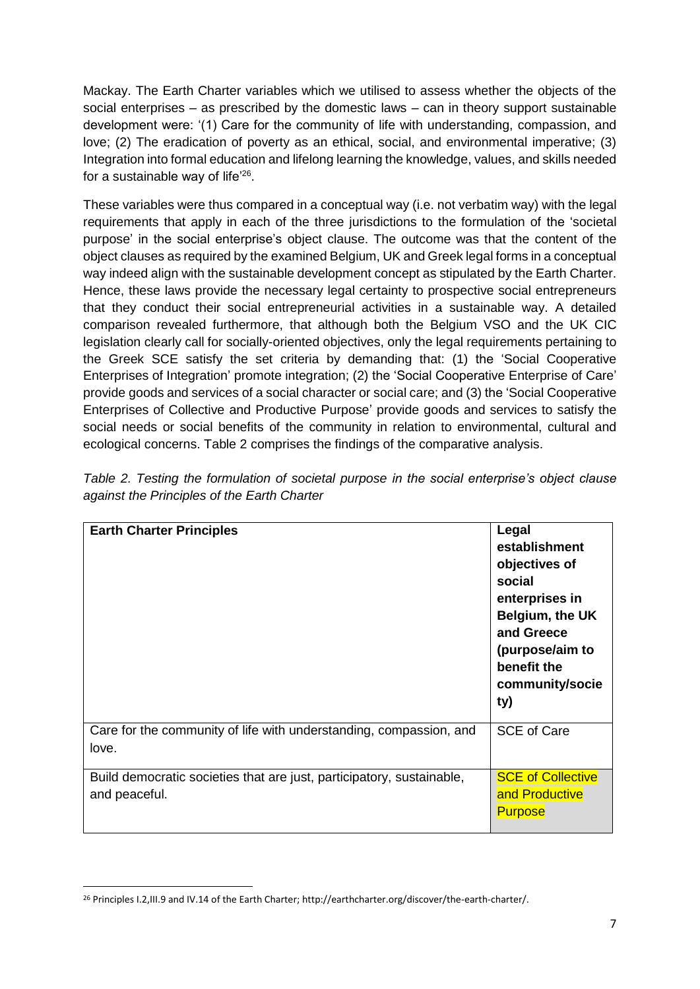Mackay. The Earth Charter variables which we utilised to assess whether the objects of the social enterprises – as prescribed by the domestic laws – can in theory support sustainable development were: '(1) Care for the community of life with understanding, compassion, and love; (2) The eradication of poverty as an ethical, social, and environmental imperative; (3) Integration into formal education and lifelong learning the knowledge, values, and skills needed for a sustainable way of life<sup>'26</sup>.

These variables were thus compared in a conceptual way (i.e. not verbatim way) with the legal requirements that apply in each of the three jurisdictions to the formulation of the 'societal purpose' in the social enterprise's object clause. The outcome was that the content of the object clauses as required by the examined Belgium, UK and Greek legal forms in a conceptual way indeed align with the sustainable development concept as stipulated by the Earth Charter. Hence, these laws provide the necessary legal certainty to prospective social entrepreneurs that they conduct their social entrepreneurial activities in a sustainable way. A detailed comparison revealed furthermore, that although both the Belgium VSO and the UK CIC legislation clearly call for socially-oriented objectives, only the legal requirements pertaining to the Greek SCE satisfy the set criteria by demanding that: (1) the 'Social Cooperative Enterprises of Integration' promote integration; (2) the 'Social Cooperative Enterprise of Care' provide goods and services of a social character or social care; and (3) the 'Social Cooperative Enterprises of Collective and Productive Purpose' provide goods and services to satisfy the social needs or social benefits of the community in relation to environmental, cultural and ecological concerns. Table 2 comprises the findings of the comparative analysis.

| <b>Earth Charter Principles</b>                                                        | Legal<br>establishment<br>objectives of<br>social<br>enterprises in<br>Belgium, the UK<br>and Greece<br>(purpose/aim to<br>benefit the<br>community/socie<br>ty) |
|----------------------------------------------------------------------------------------|------------------------------------------------------------------------------------------------------------------------------------------------------------------|
| Care for the community of life with understanding, compassion, and<br>love.            | <b>SCE of Care</b>                                                                                                                                               |
| Build democratic societies that are just, participatory, sustainable,<br>and peaceful. | <b>SCE of Collective</b><br>and Productive<br><b>Purpose</b>                                                                                                     |

*Table 2. Testing the formulation of societal purpose in the social enterprise's object clause against the Principles of the Earth Charter*

 $\overline{a}$ 

<sup>26</sup> Principles I.2,III.9 and IV.14 of the Earth Charter; http://earthcharter.org/discover/the-earth-charter/.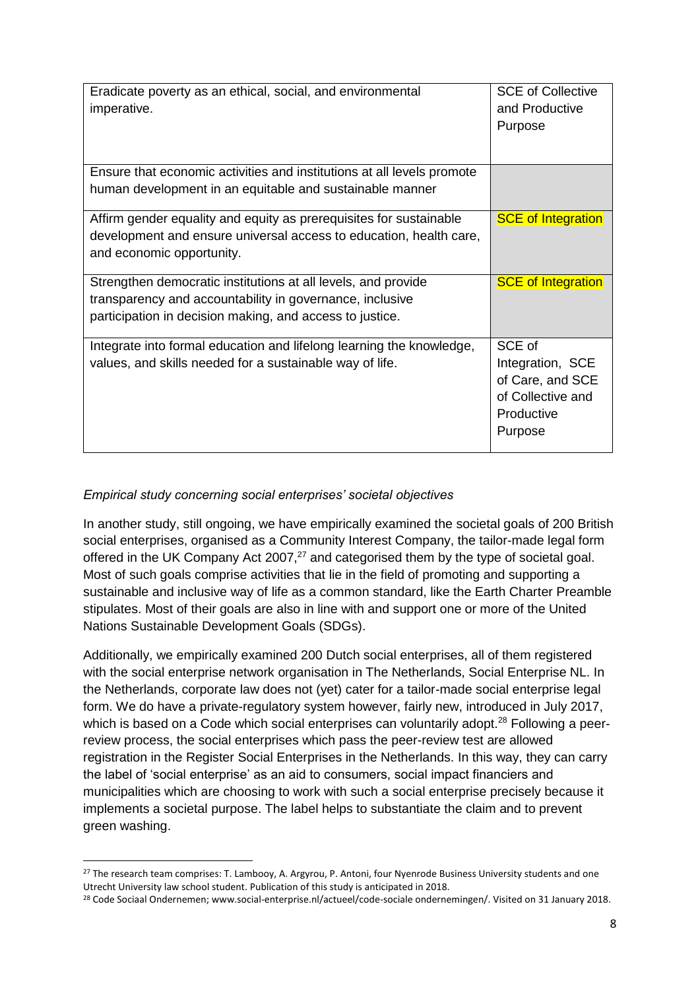| Eradicate poverty as an ethical, social, and environmental<br>imperative.                                                                                                             | <b>SCE of Collective</b><br>and Productive<br>Purpose                                        |
|---------------------------------------------------------------------------------------------------------------------------------------------------------------------------------------|----------------------------------------------------------------------------------------------|
| Ensure that economic activities and institutions at all levels promote<br>human development in an equitable and sustainable manner                                                    |                                                                                              |
| Affirm gender equality and equity as prerequisites for sustainable<br>development and ensure universal access to education, health care,<br>and economic opportunity.                 | <b>SCE of Integration</b>                                                                    |
| Strengthen democratic institutions at all levels, and provide<br>transparency and accountability in governance, inclusive<br>participation in decision making, and access to justice. | <b>SCE of Integration</b>                                                                    |
| Integrate into formal education and lifelong learning the knowledge,<br>values, and skills needed for a sustainable way of life.                                                      | SCE of<br>Integration, SCE<br>of Care, and SCE<br>of Collective and<br>Productive<br>Purpose |

## *Empirical study concerning social enterprises' societal objectives*

**.** 

In another study, still ongoing, we have empirically examined the societal goals of 200 British social enterprises, organised as a Community Interest Company, the tailor-made legal form offered in the UK Company Act 2007, $27$  and categorised them by the type of societal goal. Most of such goals comprise activities that lie in the field of promoting and supporting a sustainable and inclusive way of life as a common standard, like the Earth Charter Preamble stipulates. Most of their goals are also in line with and support one or more of the United Nations Sustainable Development Goals (SDGs).

Additionally, we empirically examined 200 Dutch social enterprises, all of them registered with the social enterprise network organisation in The Netherlands, Social Enterprise NL. In the Netherlands, corporate law does not (yet) cater for a tailor-made social enterprise legal form. We do have a private-regulatory system however, fairly new, introduced in July 2017, which is based on a Code which social enterprises can voluntarily adopt.<sup>28</sup> Following a peerreview process, the social enterprises which pass the peer-review test are allowed registration in the Register Social Enterprises in the Netherlands. In this way, they can carry the label of 'social enterprise' as an aid to consumers, social impact financiers and municipalities which are choosing to work with such a social enterprise precisely because it implements a societal purpose. The label helps to substantiate the claim and to prevent green washing.

<sup>&</sup>lt;sup>27</sup> The research team comprises: T. Lambooy, A. Argyrou, P. Antoni, four Nyenrode Business University students and one Utrecht University law school student. Publication of this study is anticipated in 2018.

<sup>&</sup>lt;sup>28</sup> Code Sociaal Ondernemen[; www.social-enterprise.nl/actueel/code-sociale ondernemingen/.](http://www.social-enterprise.nl/actueel/code-sociale%20ondernemingen/) Visited on 31 January 2018.